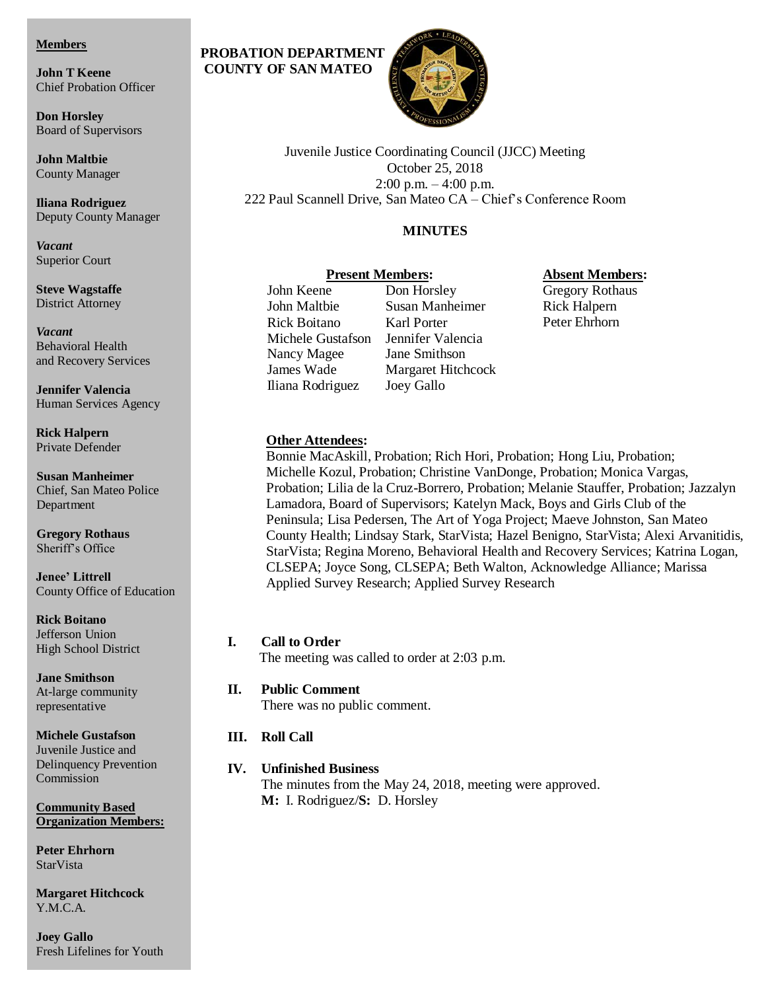#### **Members**

**John T Keene** Chief Probation Officer

**Don Horsley** Board of Supervisors

**John Maltbie** County Manager

**Iliana Rodriguez** Deputy County Manager

*Vacant* Superior Court

**Steve Wagstaffe** District Attorney

*Vacant* Behavioral Health and Recovery Services

**Jennifer Valencia** Human Services Agency

**Rick Halpern** Private Defender

**Susan Manheimer** Chief, San Mateo Police Department

**Gregory Rothaus** Sheriff's Office

**Jenee' Littrell** County Office of Education

**Rick Boitano** Jefferson Union High School District

**Jane Smithson** At-large community representative

### **Michele Gustafson**

Juvenile Justice and Delinquency Prevention Commission

**Community Based Organization Members:** 

**Peter Ehrhorn StarVista** 

**Margaret Hitchcock** Y.M.C.A.

**Joey Gallo** Fresh Lifelines for Youth

# **PROBATION DEPARTMENT COUNTY OF SAN MATEO**



Juvenile Justice Coordinating Council (JJCC) Meeting October 25, 2018 2:00 p.m. – 4:00 p.m. 222 Paul Scannell Drive, San Mateo CA – Chief's Conference Room

# **MINUTES**

### **Present Members:**

John Keene Don Horsley John Maltbie Susan Manheimer Rick Boitano Karl Porter Michele Gustafson Jennifer Valencia Nancy Magee Jane Smithson James Wade Margaret Hitchcock Iliana Rodriguez Joey Gallo

### **Absent Members:**

Gregory Rothaus Rick Halpern Peter Ehrhorn

### **Other Attendees:**

Bonnie MacAskill, Probation; Rich Hori, Probation; Hong Liu, Probation; Michelle Kozul, Probation; Christine VanDonge, Probation; Monica Vargas, Probation; Lilia de la Cruz-Borrero, Probation; Melanie Stauffer, Probation; Jazzalyn Lamadora, Board of Supervisors; Katelyn Mack, Boys and Girls Club of the Peninsula; Lisa Pedersen, The Art of Yoga Project; Maeve Johnston, San Mateo County Health; Lindsay Stark, StarVista; Hazel Benigno, StarVista; Alexi Arvanitidis, StarVista; Regina Moreno, Behavioral Health and Recovery Services; Katrina Logan, CLSEPA; Joyce Song, CLSEPA; Beth Walton, Acknowledge Alliance; Marissa Applied Survey Research; Applied Survey Research

**I. Call to Order** The meeting was called to order at 2:03 p.m.

- **II. Public Comment**  There was no public comment.
- **III. Roll Call**

# **IV. Unfinished Business**

The minutes from the May 24, 2018, meeting were approved. **M:** I. Rodriguez/**S:** D. Horsley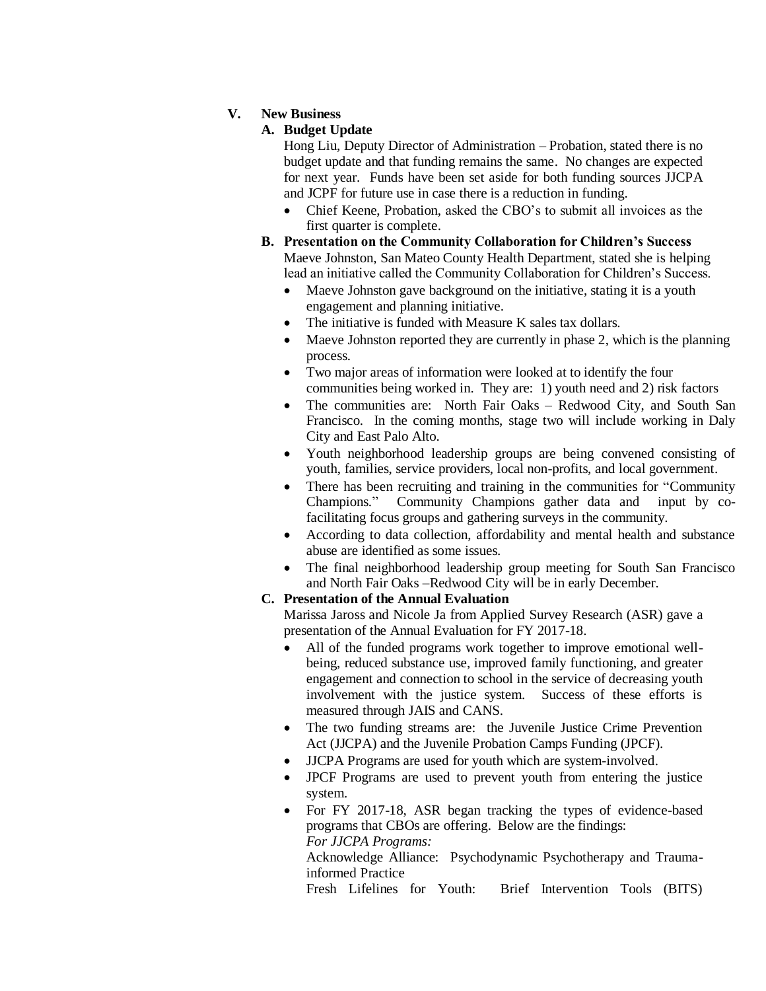### **V. New Business**

### **A. Budget Update**

Hong Liu, Deputy Director of Administration – Probation, stated there is no budget update and that funding remains the same. No changes are expected for next year. Funds have been set aside for both funding sources JJCPA and JCPF for future use in case there is a reduction in funding.

- Chief Keene, Probation, asked the CBO's to submit all invoices as the first quarter is complete.
- **B. Presentation on the Community Collaboration for Children's Success** Maeve Johnston, San Mateo County Health Department, stated she is helping lead an initiative called the Community Collaboration for Children's Success.
	- Maeve Johnston gave background on the initiative, stating it is a youth engagement and planning initiative.
	- The initiative is funded with Measure K sales tax dollars.
	- Maeve Johnston reported they are currently in phase 2, which is the planning process.
	- Two major areas of information were looked at to identify the four communities being worked in. They are: 1) youth need and 2) risk factors
	- The communities are: North Fair Oaks Redwood City, and South San Francisco. In the coming months, stage two will include working in Daly City and East Palo Alto.
	- Youth neighborhood leadership groups are being convened consisting of youth, families, service providers, local non-profits, and local government.
	- There has been recruiting and training in the communities for "Community Champions." Community Champions gather data and input by co-Champions." Community Champions gather data and facilitating focus groups and gathering surveys in the community.
	- According to data collection, affordability and mental health and substance abuse are identified as some issues.
	- The final neighborhood leadership group meeting for South San Francisco and North Fair Oaks –Redwood City will be in early December.

### **C. Presentation of the Annual Evaluation**

Marissa Jaross and Nicole Ja from Applied Survey Research (ASR) gave a presentation of the Annual Evaluation for FY 2017-18.

- All of the funded programs work together to improve emotional wellbeing, reduced substance use, improved family functioning, and greater engagement and connection to school in the service of decreasing youth involvement with the justice system. Success of these efforts is measured through JAIS and CANS.
- The two funding streams are: the Juvenile Justice Crime Prevention Act (JJCPA) and the Juvenile Probation Camps Funding (JPCF).
- JJCPA Programs are used for youth which are system-involved.
- JPCF Programs are used to prevent youth from entering the justice system.
- For FY 2017-18, ASR began tracking the types of evidence-based programs that CBOs are offering. Below are the findings: *For JJCPA Programs:*  Acknowledge Alliance: Psychodynamic Psychotherapy and Traumainformed Practice

Fresh Lifelines for Youth: Brief Intervention Tools (BITS)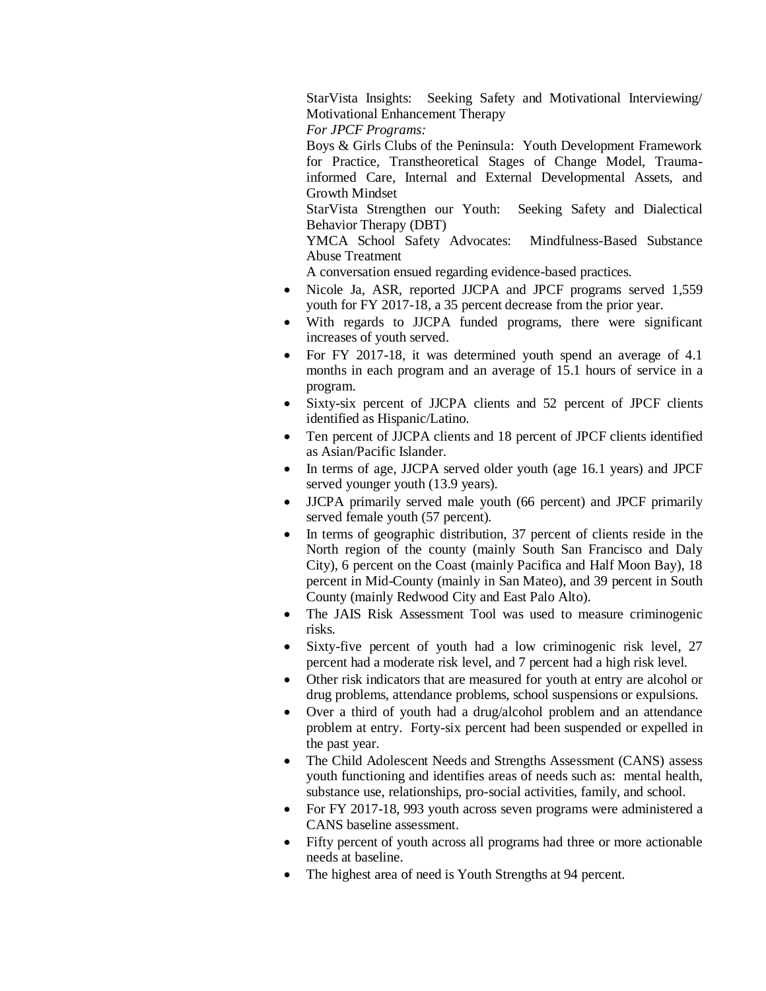StarVista Insights: Seeking Safety and Motivational Interviewing/ Motivational Enhancement Therapy

*For JPCF Programs:*

Boys & Girls Clubs of the Peninsula: Youth Development Framework for Practice, Transtheoretical Stages of Change Model, Traumainformed Care, Internal and External Developmental Assets, and Growth Mindset

StarVista Strengthen our Youth: Seeking Safety and Dialectical Behavior Therapy (DBT)

YMCA School Safety Advocates: Mindfulness-Based Substance Abuse Treatment

A conversation ensued regarding evidence-based practices.

- Nicole Ja, ASR, reported JJCPA and JPCF programs served 1,559 youth for FY 2017-18, a 35 percent decrease from the prior year.
- With regards to JJCPA funded programs, there were significant increases of youth served.
- For FY 2017-18, it was determined youth spend an average of 4.1 months in each program and an average of 15.1 hours of service in a program.
- Sixty-six percent of JJCPA clients and 52 percent of JPCF clients identified as Hispanic/Latino.
- Ten percent of JJCPA clients and 18 percent of JPCF clients identified as Asian/Pacific Islander.
- In terms of age, JJCPA served older youth (age 16.1 years) and JPCF served younger youth (13.9 years).
- JJCPA primarily served male youth (66 percent) and JPCF primarily served female youth (57 percent).
- In terms of geographic distribution, 37 percent of clients reside in the North region of the county (mainly South San Francisco and Daly City), 6 percent on the Coast (mainly Pacifica and Half Moon Bay), 18 percent in Mid-County (mainly in San Mateo), and 39 percent in South County (mainly Redwood City and East Palo Alto).
- The JAIS Risk Assessment Tool was used to measure criminogenic risks.
- Sixty-five percent of youth had a low criminogenic risk level, 27 percent had a moderate risk level, and 7 percent had a high risk level.
- Other risk indicators that are measured for youth at entry are alcohol or drug problems, attendance problems, school suspensions or expulsions.
- Over a third of youth had a drug/alcohol problem and an attendance problem at entry. Forty-six percent had been suspended or expelled in the past year.
- The Child Adolescent Needs and Strengths Assessment (CANS) assess youth functioning and identifies areas of needs such as: mental health, substance use, relationships, pro-social activities, family, and school.
- For FY 2017-18, 993 youth across seven programs were administered a CANS baseline assessment.
- Fifty percent of youth across all programs had three or more actionable needs at baseline.
- The highest area of need is Youth Strengths at 94 percent.